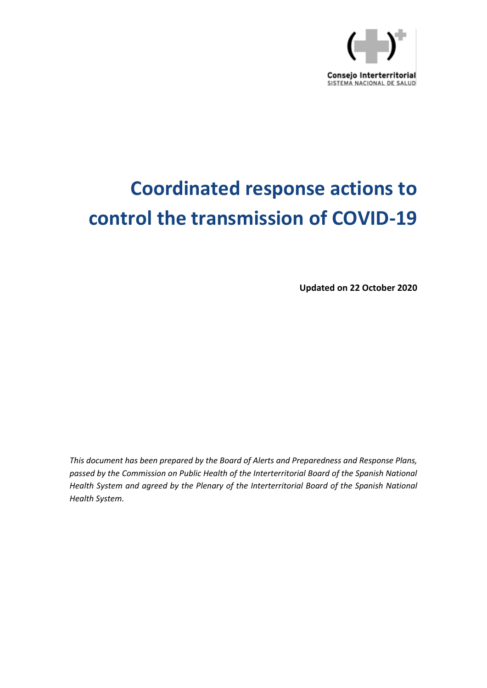

# **Coordinated response actions to control the transmission of COVID-19**

**Updated on 22 October 2020**

*This document has been prepared by the Board of Alerts and Preparedness and Response Plans, passed by the Commission on Public Health of the Interterritorial Board of the Spanish National Health System and agreed by the Plenary of the Interterritorial Board of the Spanish National Health System.*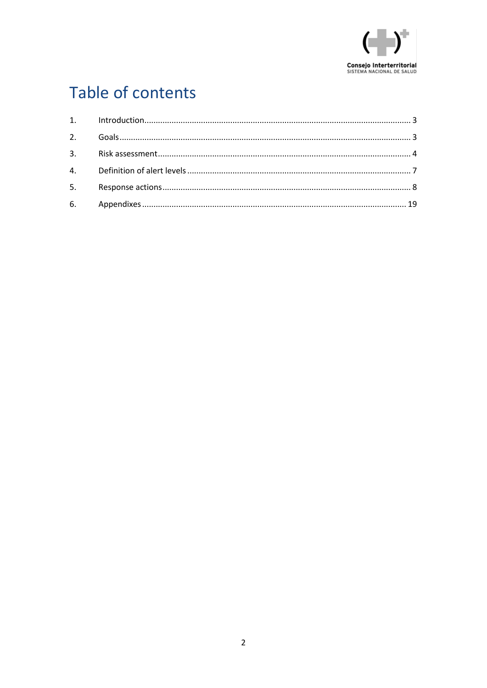

## Table of contents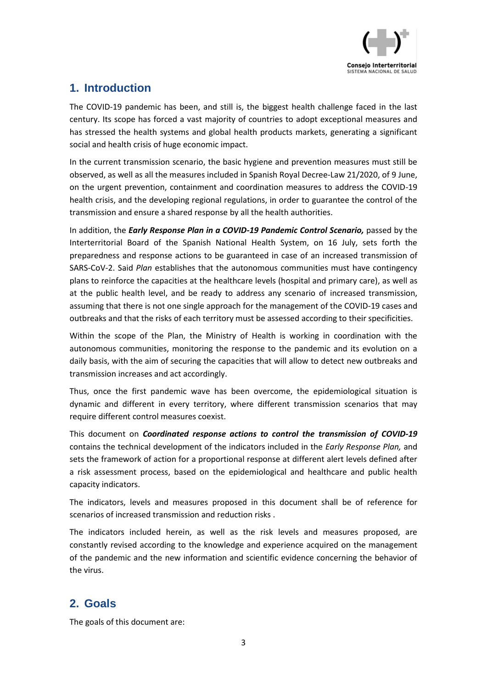

#### <span id="page-2-0"></span>**1. Introduction**

The COVID-19 pandemic has been, and still is, the biggest health challenge faced in the last century. Its scope has forced a vast majority of countries to adopt exceptional measures and has stressed the health systems and global health products markets, generating a significant social and health crisis of huge economic impact.

In the current transmission scenario, the basic hygiene and prevention measures must still be observed, as well as all the measures included in Spanish Royal Decree-Law 21/2020, of 9 June, on the urgent prevention, containment and coordination measures to address the COVID-19 health crisis, and the developing regional regulations, in order to guarantee the control of the transmission and ensure a shared response by all the health authorities.

In addition, the *Early Response Plan in a COVID-19 Pandemic Control Scenario,* passed by the Interterritorial Board of the Spanish National Health System, on 16 July, sets forth the preparedness and response actions to be guaranteed in case of an increased transmission of SARS-CoV-2. Said *Plan* establishes that the autonomous communities must have contingency plans to reinforce the capacities at the healthcare levels (hospital and primary care), as well as at the public health level, and be ready to address any scenario of increased transmission, assuming that there is not one single approach for the management of the COVID-19 cases and outbreaks and that the risks of each territory must be assessed according to their specificities.

Within the scope of the Plan, the Ministry of Health is working in coordination with the autonomous communities, monitoring the response to the pandemic and its evolution on a daily basis, with the aim of securing the capacities that will allow to detect new outbreaks and transmission increases and act accordingly.

Thus, once the first pandemic wave has been overcome, the epidemiological situation is dynamic and different in every territory, where different transmission scenarios that may require different control measures coexist.

This document on *Coordinated response actions to control the transmission of COVID-19*  contains the technical development of the indicators included in the *Early Response Plan,* and sets the framework of action for a proportional response at different alert levels defined after a risk assessment process, based on the epidemiological and healthcare and public health capacity indicators.

The indicators, levels and measures proposed in this document shall be of reference for scenarios of increased transmission and reduction risks .

The indicators included herein, as well as the risk levels and measures proposed, are constantly revised according to the knowledge and experience acquired on the management of the pandemic and the new information and scientific evidence concerning the behavior of the virus.

#### <span id="page-2-1"></span>**2. Goals**

The goals of this document are: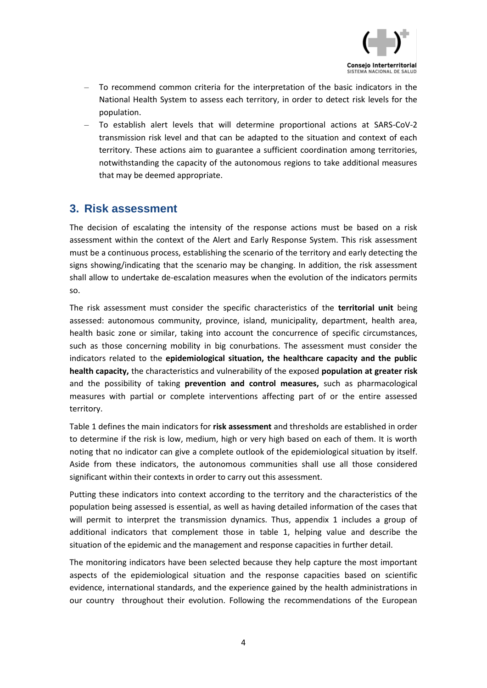

- To recommend common criteria for the interpretation of the basic indicators in the National Health System to assess each territory, in order to detect risk levels for the population.
- To establish alert levels that will determine proportional actions at SARS-CoV-2 transmission risk level and that can be adapted to the situation and context of each territory. These actions aim to guarantee a sufficient coordination among territories, notwithstanding the capacity of the autonomous regions to take additional measures that may be deemed appropriate.

#### <span id="page-3-0"></span>**3. Risk assessment**

The decision of escalating the intensity of the response actions must be based on a risk assessment within the context of the Alert and Early Response System. This risk assessment must be a continuous process, establishing the scenario of the territory and early detecting the signs showing/indicating that the scenario may be changing. In addition, the risk assessment shall allow to undertake de-escalation measures when the evolution of the indicators permits so.

The risk assessment must consider the specific characteristics of the **territorial unit** being assessed: autonomous community, province, island, municipality, department, health area, health basic zone or similar, taking into account the concurrence of specific circumstances, such as those concerning mobility in big conurbations. The assessment must consider the indicators related to the **epidemiological situation, the healthcare capacity and the public health capacity,** the characteristics and vulnerability of the exposed **population at greater risk**  and the possibility of taking **prevention and control measures,** such as pharmacological measures with partial or complete interventions affecting part of or the entire assessed territory.

Table 1 defines the main indicators for **risk assessment** and thresholds are established in order to determine if the risk is low, medium, high or very high based on each of them. It is worth noting that no indicator can give a complete outlook of the epidemiological situation by itself. Aside from these indicators, the autonomous communities shall use all those considered significant within their contexts in order to carry out this assessment.

Putting these indicators into context according to the territory and the characteristics of the population being assessed is essential, as well as having detailed information of the cases that will permit to interpret the transmission dynamics. Thus, appendix 1 includes a group of additional indicators that complement those in table 1, helping value and describe the situation of the epidemic and the management and response capacities in further detail.

The monitoring indicators have been selected because they help capture the most important aspects of the epidemiological situation and the response capacities based on scientific evidence, international standards, and the experience gained by the health administrations in our country throughout their evolution. Following the recommendations of the European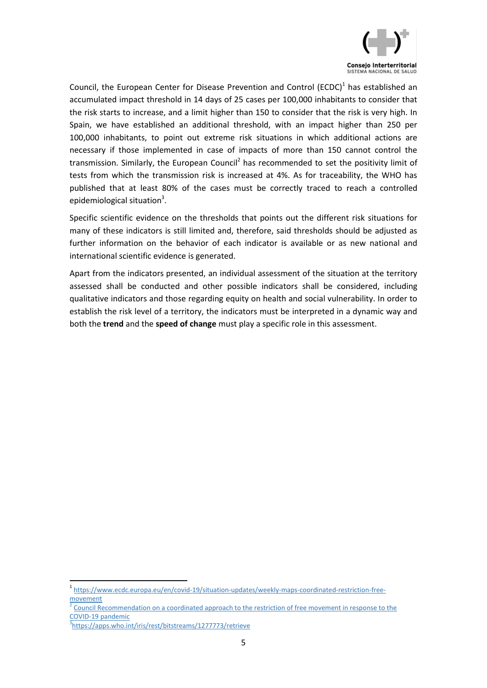

Council, the European Center for Disease Prevention and Control (ECDC) $<sup>1</sup>$  has established an</sup> accumulated impact threshold in 14 days of 25 cases per 100,000 inhabitants to consider that the risk starts to increase, and a limit higher than 150 to consider that the risk is very high. In Spain, we have established an additional threshold, with an impact higher than 250 per 100,000 inhabitants, to point out extreme risk situations in which additional actions are necessary if those implemented in case of impacts of more than 150 cannot control the transmission. Similarly, the European Council<sup>2</sup> has recommended to set the positivity limit of tests from which the transmission risk is increased at 4%. As for traceability, the WHO has published that at least 80% of the cases must be correctly traced to reach a controlled epidemiological situation<sup>3</sup>.

Specific scientific evidence on the thresholds that points out the different risk situations for many of these indicators is still limited and, therefore, said thresholds should be adjusted as further information on the behavior of each indicator is available or as new national and international scientific evidence is generated.

Apart from the indicators presented, an individual assessment of the situation at the territory assessed shall be conducted and other possible indicators shall be considered, including qualitative indicators and those regarding equity on health and social vulnerability. In order to establish the risk level of a territory, the indicators must be interpreted in a dynamic way and both the **trend** and the **speed of change** must play a specific role in this assessment.

**.** 

<sup>1</sup> [https://www.ecdc.europa.eu/en/covid-19/situation-updates/weekly-maps-coordinated-restriction-free](https://www.ecdc.europa.eu/en/covid-19/situation-updates/weekly-maps-coordinated-restriction-free-movement)[movement](https://www.ecdc.europa.eu/en/covid-19/situation-updates/weekly-maps-coordinated-restriction-free-movement)

<sup>2</sup> [Council Recommendation on a coordinated approach to the restriction of free movement in response to the](https://data.consilium.europa.eu/doc/document/ST-11689-2020-REV-1/es/pdf)  [COVID-19 pandemic](https://data.consilium.europa.eu/doc/document/ST-11689-2020-REV-1/es/pdf)

<sup>3</sup> <https://apps.who.int/iris/rest/bitstreams/1277773/retrieve>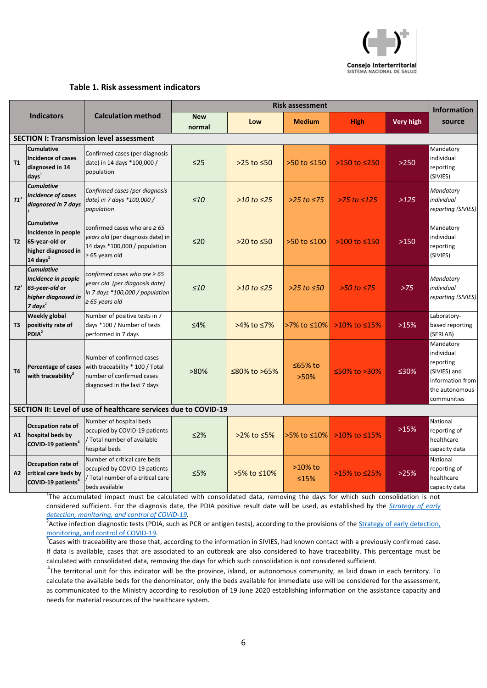

#### **Table 1. Risk assessment indicators**

| <b>Indicators</b> |                                                                                                   |                                                                                                                                                      | Risk assessment      |                    |                        |                      |                  | <b>Information</b>                                                                                        |
|-------------------|---------------------------------------------------------------------------------------------------|------------------------------------------------------------------------------------------------------------------------------------------------------|----------------------|--------------------|------------------------|----------------------|------------------|-----------------------------------------------------------------------------------------------------------|
|                   |                                                                                                   | <b>Calculation method</b>                                                                                                                            | <b>New</b><br>normal | Low                | <b>Medium</b>          | <b>High</b>          | <b>Very high</b> | source                                                                                                    |
|                   |                                                                                                   | <b>SECTION I: Transmission level assessment</b>                                                                                                      |                      |                    |                        |                      |                  |                                                                                                           |
| T1                | <b>Cumulative</b><br>Incidence of cases<br>diagnosed in 14<br>days <sup>1</sup>                   | Confirmed cases (per diagnosis<br>date) in 14 days *100,000 /<br>population                                                                          | $\leq$ 25            | $>25$ to $\leq 50$ | >50 to ≤150            | $>150$ to $\leq 250$ | >250             | Mandatory<br>individual<br>reporting<br>(SIVIES)                                                          |
| T1'               | <b>Cumulative</b><br><b>Incidence of cases</b><br>diagnosed in 7 days                             | Confirmed cases (per diagnosis<br>date) in 7 days *100,000 /<br>population                                                                           | $\leq 10$            | $>10$ to $\leq$ 25 | $>25$ to $\leq 75$     | $>75$ to $\leq 125$  | >125             | Mandatory<br>individual<br>reporting (SIVIES)                                                             |
| <b>T2</b>         | <b>Cumulative</b><br>Incidence in people<br>65-year-old or<br>higher diagnosed in<br>14 days $^1$ | confirmed cases who are $\geq 65$<br>years old (per diagnosis date) in<br>14 days *100,000 / population<br>$\geq 65$ years old                       | $\leq 20$            | $>20$ to $\leq 50$ | >50 to ≤100            | $>100$ to $\leq 150$ | $>150$           | Mandatory<br>individual<br>reporting<br>(SIVIES)                                                          |
| T2'               | <b>Cumulative</b><br>Incidence in people<br>65-year-old or<br>higher diagnosed in<br>7 days $^1$  | confirmed cases who are $\geq 65$<br>years old (per diagnosis date)<br>in 7 days *100,000 / population<br>$\geq 65$ years old                        | $\leq 10$            | $>10$ to $\leq$ 25 | $>25$ to $\leq 50$     | $>50$ to $\leq 75$   | $>75$            | Mandatory<br>individual<br>reporting (SIVIES)                                                             |
| T3                | <b>Weekly global</b><br>positivity rate of<br>PDIA <sup>2</sup>                                   | Number of positive tests in 7<br>days *100 / Number of tests<br>performed in 7 days                                                                  | ≤4%                  | >4% to ≤7%         | >7% to ≤10%            | >10% to <15%         | >15%             | Laboratory-<br>based reporting<br>(SERLAB)                                                                |
| <b>T4</b>         | with traceability <sup>3</sup>                                                                    | Number of confirmed cases<br><b>Percentage of cases</b> with traceability * 100 / Total<br>number of confirmed cases<br>diagnosed in the last 7 days | $>80\%$              | ≤80% to >65%       | $\leq 65\%$ to<br>>50% | ≤50% to >30%         | ≤30%             | Mandatory<br>individual<br>reporting<br>(SIVIES) and<br>information from<br>the autonomous<br>communities |
|                   |                                                                                                   | SECTION II: Level of use of healthcare services due to COVID-19                                                                                      |                      |                    |                        |                      |                  |                                                                                                           |
| A1                | <b>Occupation rate of</b><br>hospital beds by<br>COVID-19 patients <sup>4</sup>                   | Number of hospital beds<br>occupied by COVID-19 patients<br>/ Total number of available<br>hospital beds                                             | $\leq$ 2%            | $>2\%$ to ≤5%      | >5% to ≤10%            | >10% to <15%         | >15%             | National<br>reporting of<br>healthcare<br>capacity data                                                   |
| A2                | Occupation rate of<br>critical care beds by<br>COVID-19 patients <sup>4</sup>                     | Number of critical care beds<br>occupied by COVID-19 patients<br>/ Total number of a critical care<br>beds available                                 | $\leq$ 5%            | >5% to ≤10%        | $>10\%$ to<br>≤15%     | >15% to <25%         | >25%             | National<br>reporting of<br>healthcare<br>capacity data                                                   |

<sup>1</sup>The accumulated impact must be calculated with consolidated data, removing the days for which such consolidation is not considered sufficient. For the diagnosis date, the PDIA positive result date will be used, as established by the *[Strategy of early](https://www.mscbs.gob.es/profesionales/saludPublica/ccayes/alertasActual/nCov/documentos/COVID19_Estrategia_vigilancia_y_control_e_indicadores.pdf)  [detection, monitoring, and control of COVID-19.](https://www.mscbs.gob.es/profesionales/saludPublica/ccayes/alertasActual/nCov/documentos/COVID19_Estrategia_vigilancia_y_control_e_indicadores.pdf)*

<sup>2</sup> Active infection diagnostic tests (PDIA, such as PCR or antigen tests), according to the provisions of the *Strategy of early detection*, [monitoring, and control of COVID-19.](https://www.mscbs.gob.es/profesionales/saludPublica/ccayes/alertasActual/nCov/documentos/COVID19_Estrategia_vigilancia_y_control_e_indicadores.pdf)

 $3$ Cases with traceability are those that, according to the information in SIVIES, had known contact with a previously confirmed case. If data is available, cases that are associated to an outbreak are also considered to have traceability. This percentage must be calculated with consolidated data, removing the days for which such consolidation is not considered sufficient.

<sup>4</sup>The territorial unit for this indicator will be the province, island, or autonomous community, as laid down in each territory. To calculate the available beds for the denominator, only the beds available for immediate use will be considered for the assessment, as communicated to the Ministry according to resolution of 19 June 2020 establishing information on the assistance capacity and needs for material resources of the healthcare system.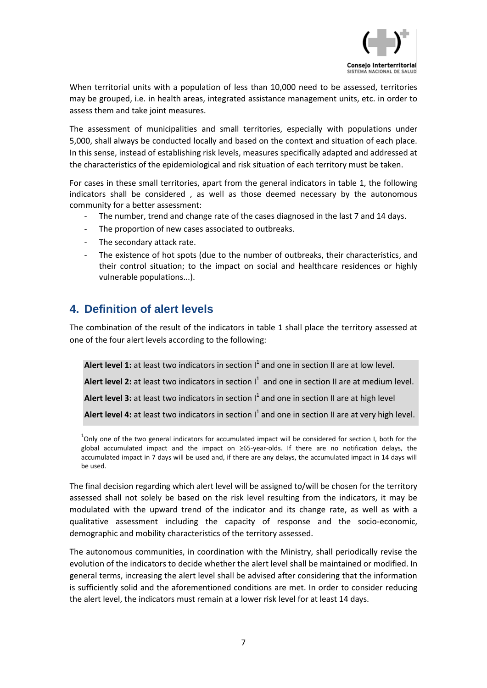

When territorial units with a population of less than 10,000 need to be assessed, territories may be grouped, i.e. in health areas, integrated assistance management units, etc. in order to assess them and take joint measures.

The assessment of municipalities and small territories, especially with populations under 5,000, shall always be conducted locally and based on the context and situation of each place. In this sense, instead of establishing risk levels, measures specifically adapted and addressed at the characteristics of the epidemiological and risk situation of each territory must be taken.

For cases in these small territories, apart from the general indicators in table 1, the following indicators shall be considered , as well as those deemed necessary by the autonomous community for a better assessment:

- The number, trend and change rate of the cases diagnosed in the last 7 and 14 days.
- The proportion of new cases associated to outbreaks.
- The secondary attack rate.
- The existence of hot spots (due to the number of outbreaks, their characteristics, and their control situation; to the impact on social and healthcare residences or highly vulnerable populations...).

#### <span id="page-6-0"></span>**4. Definition of alert levels**

The combination of the result of the indicators in table 1 shall place the territory assessed at one of the four alert levels according to the following:

Alert level 1: at least two indicators in section I<sup>1</sup> and one in section II are at low level. Alert level 2: at least two indicators in section  $I^1$  and one in section II are at medium level. Alert level 3: at least two indicators in section I<sup>1</sup> and one in section II are at high level Alert level 4: at least two indicators in section  $1^1$  and one in section II are at very high level.

 $^{1}$ Only one of the two general indicators for accumulated impact will be considered for section I, both for the global accumulated impact and the impact on ≥65-year-olds. If there are no notification delays, the accumulated impact in 7 days will be used and, if there are any delays, the accumulated impact in 14 days will be used.

The final decision regarding which alert level will be assigned to/will be chosen for the territory assessed shall not solely be based on the risk level resulting from the indicators, it may be modulated with the upward trend of the indicator and its change rate, as well as with a qualitative assessment including the capacity of response and the socio-economic, demographic and mobility characteristics of the territory assessed.

The autonomous communities, in coordination with the Ministry, shall periodically revise the evolution of the indicators to decide whether the alert level shall be maintained or modified. In general terms, increasing the alert level shall be advised after considering that the information is sufficiently solid and the aforementioned conditions are met. In order to consider reducing the alert level, the indicators must remain at a lower risk level for at least 14 days.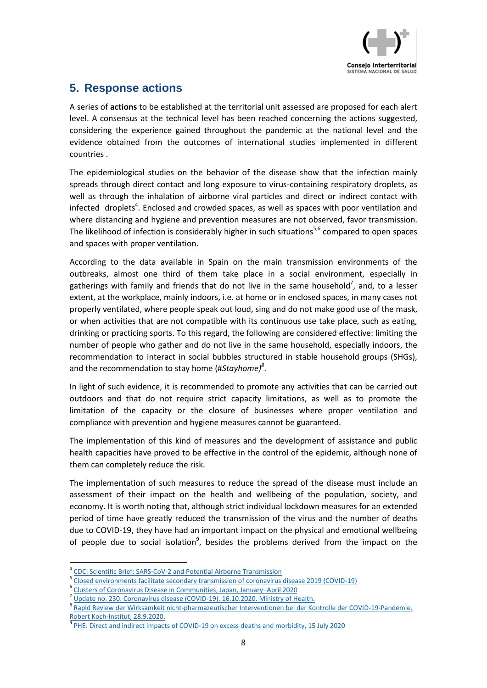

#### <span id="page-7-0"></span>**5. Response actions**

A series of **actions** to be established at the territorial unit assessed are proposed for each alert level. A consensus at the technical level has been reached concerning the actions suggested, considering the experience gained throughout the pandemic at the national level and the evidence obtained from the outcomes of international studies implemented in different countries .

The epidemiological studies on the behavior of the disease show that the infection mainly spreads through direct contact and long exposure to virus-containing respiratory droplets, as well as through the inhalation of airborne viral particles and direct or indirect contact with infected droplets<sup>4</sup>. Enclosed and crowded spaces, as well as spaces with poor ventilation and where distancing and hygiene and prevention measures are not observed, favor transmission. The likelihood of infection is considerably higher in such situations<sup>5,6</sup> compared to open spaces and spaces with proper ventilation.

According to the data available in Spain on the main transmission environments of the outbreaks, almost one third of them take place in a social environment, especially in gatherings with family and friends that do not live in the same household<sup>7</sup>, and, to a lesser extent, at the workplace, mainly indoors, i.e. at home or in enclosed spaces, in many cases not properly ventilated, where people speak out loud, sing and do not make good use of the mask, or when activities that are not compatible with its continuous use take place, such as eating, drinking or practicing sports. To this regard, the following are considered effective: limiting the number of people who gather and do not live in the same household, especially indoors, the recommendation to interact in social bubbles structured in stable household groups (SHGs), and the recommendation to stay home (#*Stayhome)<sup>8</sup>* .

In light of such evidence, it is recommended to promote any activities that can be carried out outdoors and that do not require strict capacity limitations, as well as to promote the limitation of the capacity or the closure of businesses where proper ventilation and compliance with prevention and hygiene measures cannot be guaranteed.

The implementation of this kind of measures and the development of assistance and public health capacities have proved to be effective in the control of the epidemic, although none of them can completely reduce the risk.

The implementation of such measures to reduce the spread of the disease must include an assessment of their impact on the health and wellbeing of the population, society, and economy. It is worth noting that, although strict individual lockdown measures for an extended period of time have greatly reduced the transmission of the virus and the number of deaths due to COVID-19, they have had an important impact on the physical and emotional wellbeing of people due to social isolation<sup>9</sup>, besides the problems derived from the impact on the

**<sup>.</sup>** <sup>4</sup> [CDC:](https://www.cdc.gov/coronavirus/2019-ncov/more/scientific-brief-sars-cov-2.html) [Scientific Brief:](https://www.cdc.gov/coronavirus/2019-ncov/more/scientific-brief-sars-cov-2.html) [SARS-CoV-2 and Potential Airborne Transmission](https://www.cdc.gov/coronavirus/2019-ncov/more/scientific-brief-sars-cov-2.html)

<sup>5</sup> [Closed environments facilitate secondary transmission of coronavirus disease 2019 \(COVID-19\)](https://www.medrxiv.org/content/10.1101/2020.02.28.20029272v2)

<sup>6</sup> [Clusters of Coronavirus Disease in Communities, Japan, January](https://wwwnc.cdc.gov/eid/article/26/9/20-2272_article)–April 2020

<sup>7</sup> [Update no. 230.](https://www.mscbs.gob.es/profesionales/saludPublica/ccayes/alertasActual/nCov/documentos/Actualizacion_230_COVID-19.pdf) [Coronavirus disease \(COVID-19\).](https://www.mscbs.gob.es/profesionales/saludPublica/ccayes/alertasActual/nCov/documentos/Actualizacion_230_COVID-19.pdf) [16.10.2020.](https://www.mscbs.gob.es/profesionales/saludPublica/ccayes/alertasActual/nCov/documentos/Actualizacion_230_COVID-19.pdf) [Ministry of Health.](https://www.mscbs.gob.es/profesionales/saludPublica/ccayes/alertasActual/nCov/documentos/Actualizacion_230_COVID-19.pdf)

<sup>8</sup> Rapid [Review der Wirksamkeit nicht-pharmazeutischer Interventionen bei der Kontrolle der COVID-19-Pandemie.](https://www.rki.de/DE/Content/InfAZ/N/Neuartiges_Coronavirus/Projekte_RKI/Rapid-Review-NPIs.pdf?__blob=publicationFile) [Robert Koch-Institut, 28.9.2020.](https://www.rki.de/DE/Content/InfAZ/N/Neuartiges_Coronavirus/Projekte_RKI/Rapid-Review-NPIs.pdf?__blob=publicationFile)

<sup>9</sup> [PHE:](https://www.gov.uk/government/publications/dhsconsgadho-direct-and-indirect-impacts-of-covid-19-on-excess-deaths-and-morbidity-15-july-2020) [Direct and indirect impacts of COVID-19 on excess deaths and morbidity, 15 July 2020](https://www.gov.uk/government/publications/dhsconsgadho-direct-and-indirect-impacts-of-covid-19-on-excess-deaths-and-morbidity-15-july-2020)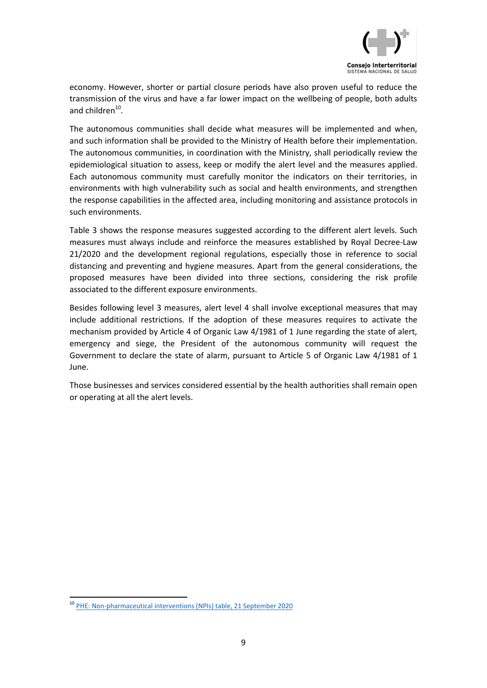

economy. However, shorter or partial closure periods have also proven useful to reduce the transmission of the virus and have a far lower impact on the wellbeing of people, both adults and children<sup>10</sup>.

The autonomous communities shall decide what measures will be implemented and when, and such information shall be provided to the Ministry of Health before their implementation. The autonomous communities, in coordination with the Ministry, shall periodically review the epidemiological situation to assess, keep or modify the alert level and the measures applied. Each autonomous community must carefully monitor the indicators on their territories, in environments with high vulnerability such as social and health environments, and strengthen the response capabilities in the affected area, including monitoring and assistance protocols in such environments.

Table 3 shows the response measures suggested according to the different alert levels. Such measures must always include and reinforce the measures established by Royal Decree-Law 21/2020 and the development regional regulations, especially those in reference to social distancing and preventing and hygiene measures. Apart from the general considerations, the proposed measures have been divided into three sections, considering the risk profile associated to the different exposure environments.

Besides following level 3 measures, alert level 4 shall involve exceptional measures that may include additional restrictions. If the adoption of these measures requires to activate the mechanism provided by Article 4 of Organic Law 4/1981 of 1 June regarding the state of alert, emergency and siege, the President of the autonomous community will request the Government to declare the state of alarm, pursuant to Article 5 of Organic Law 4/1981 of 1 June.

Those businesses and services considered essential by the health authorities shall remain open or operating at all the alert levels.

 $\overline{\phantom{a}}$ <sup>10</sup> [PHE:](https://www.gov.uk/government/publications/npis-table-17-september-2020) [Non-pharmaceutical interventions \(NPIs\) table, 21 September 2020](https://www.gov.uk/government/publications/npis-table-17-september-2020)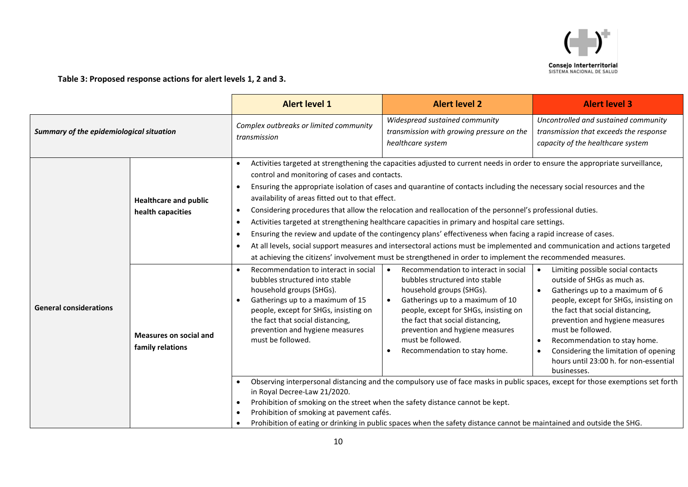

**Table 3: Proposed response actions for alert levels 1, 2 and 3.**

|                                          |                                                   | <b>Alert level 1</b>                                                                                                                                                                                                                                                                | <b>Alert level 2</b>                                                                                                                                                                                                                                                                                                                                                                                                                                                                                                                                                                                                                                                                                                                                                                                                                                                                                                                            | <b>Alert level 3</b>                                                                                                |  |  |
|------------------------------------------|---------------------------------------------------|-------------------------------------------------------------------------------------------------------------------------------------------------------------------------------------------------------------------------------------------------------------------------------------|-------------------------------------------------------------------------------------------------------------------------------------------------------------------------------------------------------------------------------------------------------------------------------------------------------------------------------------------------------------------------------------------------------------------------------------------------------------------------------------------------------------------------------------------------------------------------------------------------------------------------------------------------------------------------------------------------------------------------------------------------------------------------------------------------------------------------------------------------------------------------------------------------------------------------------------------------|---------------------------------------------------------------------------------------------------------------------|--|--|
| Summary of the epidemiological situation |                                                   | Complex outbreaks or limited community<br>transmission                                                                                                                                                                                                                              | Widespread sustained community<br>transmission with growing pressure on the<br>healthcare system                                                                                                                                                                                                                                                                                                                                                                                                                                                                                                                                                                                                                                                                                                                                                                                                                                                | Uncontrolled and sustained community<br>transmission that exceeds the response<br>capacity of the healthcare system |  |  |
|                                          | <b>Healthcare and public</b><br>health capacities | $\bullet$<br>$\bullet$<br>$\bullet$                                                                                                                                                                                                                                                 | Activities targeted at strengthening the capacities adjusted to current needs in order to ensure the appropriate surveillance,<br>control and monitoring of cases and contacts.<br>Ensuring the appropriate isolation of cases and quarantine of contacts including the necessary social resources and the<br>availability of areas fitted out to that effect.<br>Considering procedures that allow the relocation and reallocation of the personnel's professional duties.<br>Activities targeted at strengthening healthcare capacities in primary and hospital care settings.<br>Ensuring the review and update of the contingency plans' effectiveness when facing a rapid increase of cases.<br>At all levels, social support measures and intersectoral actions must be implemented and communication and actions targeted<br>at achieving the citizens' involvement must be strengthened in order to implement the recommended measures. |                                                                                                                     |  |  |
| <b>General considerations</b>            | <b>Measures on social and</b><br>family relations | Recommendation to interact in social<br>bubbles structured into stable<br>household groups (SHGs).<br>Gatherings up to a maximum of 15<br>people, except for SHGs, insisting on<br>the fact that social distancing,<br>prevention and hygiene measures<br>must be followed.         | Limiting possible social contacts<br>$\bullet$<br>outside of SHGs as much as.<br>Gatherings up to a maximum of 6<br>people, except for SHGs, insisting on<br>the fact that social distancing,<br>prevention and hygiene measures<br>must be followed.<br>Recommendation to stay home.<br>$\bullet$<br>Considering the limitation of opening<br>$\bullet$<br>hours until 23:00 h. for non-essential<br>businesses.<br>Observing interpersonal distancing and the compulsory use of face masks in public spaces, except for those exemptions set forth                                                                                                                                                                                                                                                                                                                                                                                            |                                                                                                                     |  |  |
|                                          |                                                   | in Royal Decree-Law 21/2020.<br>Prohibition of smoking on the street when the safety distance cannot be kept.<br>Prohibition of smoking at pavement cafés.<br>Prohibition of eating or drinking in public spaces when the safety distance cannot be maintained and outside the SHG. |                                                                                                                                                                                                                                                                                                                                                                                                                                                                                                                                                                                                                                                                                                                                                                                                                                                                                                                                                 |                                                                                                                     |  |  |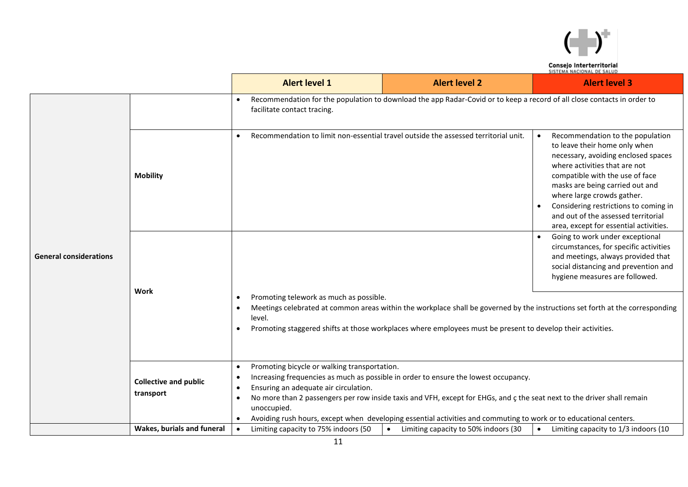

**Consejo Interterritorial<br>SISTEMA NACIONAL DE SALUD** 

|                               |                                           | <b>Alert level 1</b>                                                                                                                                                                                                                                                                                                                                                                                                                                                                            | <b>Alert level 2</b>                                                                                                    | <b>Alert level 3</b>                                                                                                                                                                                                                                                                                                                                                                                                                              |  |  |  |
|-------------------------------|-------------------------------------------|-------------------------------------------------------------------------------------------------------------------------------------------------------------------------------------------------------------------------------------------------------------------------------------------------------------------------------------------------------------------------------------------------------------------------------------------------------------------------------------------------|-------------------------------------------------------------------------------------------------------------------------|---------------------------------------------------------------------------------------------------------------------------------------------------------------------------------------------------------------------------------------------------------------------------------------------------------------------------------------------------------------------------------------------------------------------------------------------------|--|--|--|
|                               |                                           | facilitate contact tracing.                                                                                                                                                                                                                                                                                                                                                                                                                                                                     | Recommendation for the population to download the app Radar-Covid or to keep a record of all close contacts in order to |                                                                                                                                                                                                                                                                                                                                                                                                                                                   |  |  |  |
|                               | <b>Mobility</b>                           | $\bullet$                                                                                                                                                                                                                                                                                                                                                                                                                                                                                       | Recommendation to limit non-essential travel outside the assessed territorial unit.                                     | Recommendation to the population<br>$\bullet$<br>to leave their home only when<br>necessary, avoiding enclosed spaces<br>where activities that are not<br>compatible with the use of face<br>masks are being carried out and<br>where large crowds gather.<br>Considering restrictions to coming in<br>$\bullet$<br>and out of the assessed territorial<br>area, except for essential activities.<br>Going to work under exceptional<br>$\bullet$ |  |  |  |
| <b>General considerations</b> |                                           |                                                                                                                                                                                                                                                                                                                                                                                                                                                                                                 |                                                                                                                         | circumstances, for specific activities<br>and meetings, always provided that<br>social distancing and prevention and<br>hygiene measures are followed.                                                                                                                                                                                                                                                                                            |  |  |  |
|                               | Work                                      | Promoting telework as much as possible.<br>$\bullet$<br>Meetings celebrated at common areas within the workplace shall be governed by the instructions set forth at the corresponding<br>$\bullet$<br>level.<br>Promoting staggered shifts at those workplaces where employees must be present to develop their activities.<br>$\bullet$                                                                                                                                                        |                                                                                                                         |                                                                                                                                                                                                                                                                                                                                                                                                                                                   |  |  |  |
|                               | <b>Collective and public</b><br>transport | Promoting bicycle or walking transportation.<br>$\bullet$<br>Increasing frequencies as much as possible in order to ensure the lowest occupancy.<br>$\bullet$<br>Ensuring an adequate air circulation.<br>$\bullet$<br>No more than 2 passengers per row inside taxis and VFH, except for EHGs, and c the seat next to the driver shall remain<br>$\bullet$<br>unoccupied.<br>Avoiding rush hours, except when developing essential activities and commuting to work or to educational centers. |                                                                                                                         |                                                                                                                                                                                                                                                                                                                                                                                                                                                   |  |  |  |
|                               | <b>Wakes, burials and funeral</b>         | Limiting capacity to 75% indoors (50                                                                                                                                                                                                                                                                                                                                                                                                                                                            | Limiting capacity to 50% indoors (30<br>$\bullet$                                                                       | Limiting capacity to 1/3 indoors (10                                                                                                                                                                                                                                                                                                                                                                                                              |  |  |  |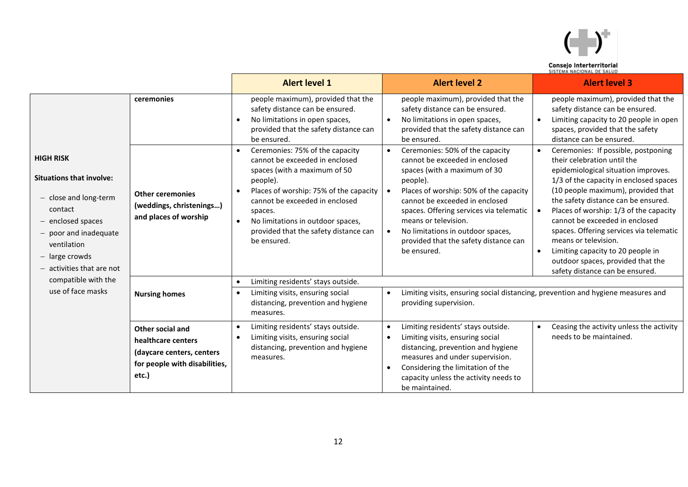

| Consejo Interterritorial    |
|-----------------------------|
| CICTEMA MACIONIAL BE CALLIB |

|                                                                                                                                                                            |                                                                                                               | <b>Alert level 1</b>                                                                                                                                                                                                                                                                                           | <b>Alert level 2</b>                                                                                                                                                                                                                                                                                                                                                                | <b>Alert level 3</b>                                                                                                                                                                                                                                                                                                                                                                                                                                                                                                   |
|----------------------------------------------------------------------------------------------------------------------------------------------------------------------------|---------------------------------------------------------------------------------------------------------------|----------------------------------------------------------------------------------------------------------------------------------------------------------------------------------------------------------------------------------------------------------------------------------------------------------------|-------------------------------------------------------------------------------------------------------------------------------------------------------------------------------------------------------------------------------------------------------------------------------------------------------------------------------------------------------------------------------------|------------------------------------------------------------------------------------------------------------------------------------------------------------------------------------------------------------------------------------------------------------------------------------------------------------------------------------------------------------------------------------------------------------------------------------------------------------------------------------------------------------------------|
|                                                                                                                                                                            | ceremonies                                                                                                    | people maximum), provided that the<br>safety distance can be ensured.<br>No limitations in open spaces,<br>$\bullet$<br>provided that the safety distance can<br>be ensured.                                                                                                                                   | people maximum), provided that the<br>safety distance can be ensured.<br>No limitations in open spaces,<br>provided that the safety distance can<br>be ensured.                                                                                                                                                                                                                     | people maximum), provided that the<br>safety distance can be ensured.<br>Limiting capacity to 20 people in open<br>$\bullet$<br>spaces, provided that the safety<br>distance can be ensured.                                                                                                                                                                                                                                                                                                                           |
| <b>HIGH RISK</b><br><b>Situations that involve:</b><br>- close and long-term<br>contact<br>$-$ enclosed spaces<br>$-$ poor and inadequate<br>ventilation<br>- large crowds | <b>Other ceremonies</b><br>(weddings, christenings)<br>and places of worship                                  | Ceremonies: 75% of the capacity<br>cannot be exceeded in enclosed<br>spaces (with a maximum of 50<br>people).<br>Places of worship: 75% of the capacity<br>cannot be exceeded in enclosed<br>spaces.<br>No limitations in outdoor spaces,<br>$\bullet$<br>provided that the safety distance can<br>be ensured. | Ceremonies: 50% of the capacity<br>$\bullet$<br>cannot be exceeded in enclosed<br>spaces (with a maximum of 30<br>people).<br>Places of worship: 50% of the capacity<br>cannot be exceeded in enclosed<br>spaces. Offering services via telematic<br>means or television.<br>No limitations in outdoor spaces,<br>$\bullet$<br>provided that the safety distance can<br>be ensured. | Ceremonies: If possible, postponing<br>$\bullet$<br>their celebration until the<br>epidemiological situation improves.<br>1/3 of the capacity in enclosed spaces<br>(10 people maximum), provided that<br>the safety distance can be ensured.<br>Places of worship: 1/3 of the capacity<br>cannot be exceeded in enclosed<br>spaces. Offering services via telematic<br>means or television.<br>Limiting capacity to 20 people in<br>$\bullet$<br>outdoor spaces, provided that the<br>safety distance can be ensured. |
| compatible with the<br>use of face masks                                                                                                                                   | <b>Nursing homes</b>                                                                                          | Limiting residents' stays outside.<br>$\bullet$<br>Limiting visits, ensuring social<br>$\bullet$<br>distancing, prevention and hygiene<br>measures.                                                                                                                                                            | $\bullet$<br>providing supervision.                                                                                                                                                                                                                                                                                                                                                 | Limiting visits, ensuring social distancing, prevention and hygiene measures and                                                                                                                                                                                                                                                                                                                                                                                                                                       |
|                                                                                                                                                                            | Other social and<br>healthcare centers<br>(daycare centers, centers<br>for people with disabilities,<br>etc.) | Limiting residents' stays outside.<br>$\bullet$<br>Limiting visits, ensuring social<br>$\bullet$<br>distancing, prevention and hygiene<br>measures.                                                                                                                                                            | Limiting residents' stays outside.<br>Limiting visits, ensuring social<br>distancing, prevention and hygiene<br>measures and under supervision.<br>Considering the limitation of the<br>capacity unless the activity needs to<br>be maintained.                                                                                                                                     | Ceasing the activity unless the activity<br>$\bullet$<br>needs to be maintained.                                                                                                                                                                                                                                                                                                                                                                                                                                       |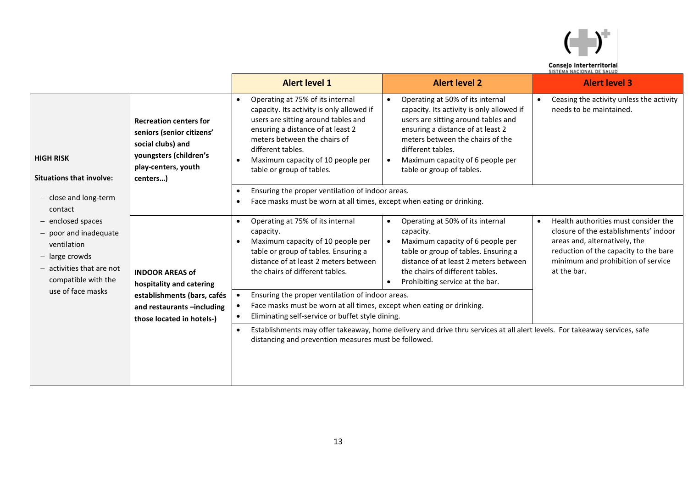

| Consejo Interterritorial   |  |
|----------------------------|--|
| CICTEMA NACIONAL DE CALLID |  |

|                                                                                                                                     |                                                                                                                                              | <b>Alert level 1</b>                                                                                                                                                                                                                                                                                       | <b>Alert level 2</b>                                                                                                                                                                                                                                                                             | <b>Alert level 3</b>                                                                                                                                                                                                      |
|-------------------------------------------------------------------------------------------------------------------------------------|----------------------------------------------------------------------------------------------------------------------------------------------|------------------------------------------------------------------------------------------------------------------------------------------------------------------------------------------------------------------------------------------------------------------------------------------------------------|--------------------------------------------------------------------------------------------------------------------------------------------------------------------------------------------------------------------------------------------------------------------------------------------------|---------------------------------------------------------------------------------------------------------------------------------------------------------------------------------------------------------------------------|
| <b>HIGH RISK</b><br><b>Situations that involve:</b>                                                                                 | <b>Recreation centers for</b><br>seniors (senior citizens'<br>social clubs) and<br>youngsters (children's<br>play-centers, youth<br>centers) | Operating at 75% of its internal<br>$\bullet$<br>capacity. Its activity is only allowed if<br>users are sitting around tables and<br>ensuring a distance of at least 2<br>meters between the chairs of<br>different tables.<br>Maximum capacity of 10 people per<br>$\bullet$<br>table or group of tables. | Operating at 50% of its internal<br>$\bullet$<br>capacity. Its activity is only allowed if<br>users are sitting around tables and<br>ensuring a distance of at least 2<br>meters between the chairs of the<br>different tables.<br>Maximum capacity of 6 people per<br>table or group of tables. | Ceasing the activity unless the activity<br>$\bullet$<br>needs to be maintained.                                                                                                                                          |
| $-$ close and long-term<br>contact                                                                                                  |                                                                                                                                              | Ensuring the proper ventilation of indoor areas.<br>$\bullet$<br>Face masks must be worn at all times, except when eating or drinking.<br>$\bullet$                                                                                                                                                        |                                                                                                                                                                                                                                                                                                  |                                                                                                                                                                                                                           |
| - enclosed spaces<br>$-$ poor and inadequate<br>ventilation<br>- large crowds<br>$-$ activities that are not<br>compatible with the | <b>INDOOR AREAS of</b><br>hospitality and catering<br>establishments (bars, cafés<br>and restaurants -including<br>those located in hotels-) | Operating at 75% of its internal<br>$\bullet$<br>capacity.<br>Maximum capacity of 10 people per<br>$\bullet$<br>table or group of tables. Ensuring a<br>distance of at least 2 meters between<br>the chairs of different tables.                                                                           | Operating at 50% of its internal<br>capacity.<br>Maximum capacity of 6 people per<br>table or group of tables. Ensuring a<br>distance of at least 2 meters between<br>the chairs of different tables.<br>Prohibiting service at the bar.                                                         | Health authorities must consider the<br>$\bullet$<br>closure of the establishments' indoor<br>areas and, alternatively, the<br>reduction of the capacity to the bare<br>minimum and prohibition of service<br>at the bar. |
| use of face masks                                                                                                                   |                                                                                                                                              | Ensuring the proper ventilation of indoor areas.<br>Face masks must be worn at all times, except when eating or drinking.<br>Eliminating self-service or buffet style dining.                                                                                                                              |                                                                                                                                                                                                                                                                                                  |                                                                                                                                                                                                                           |
|                                                                                                                                     |                                                                                                                                              | Establishments may offer takeaway, home delivery and drive thru services at all alert levels. For takeaway services, safe<br>$\bullet$<br>distancing and prevention measures must be followed.                                                                                                             |                                                                                                                                                                                                                                                                                                  |                                                                                                                                                                                                                           |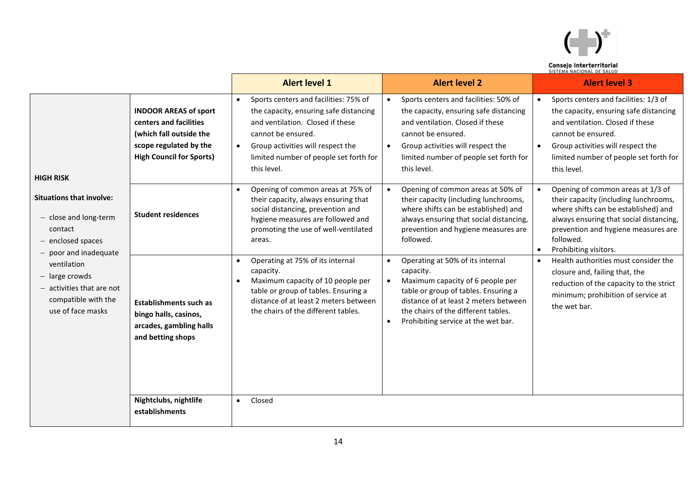

|                           | Consejo Interterritorial |
|---------------------------|--------------------------|
| SISTEMA NACIONAL DE SALUD |                          |

|                                                                                                                     |                                                                                                                                                | <b>Alert level 1</b>                                                                                                                                                                                                                    | <b>Alert level 2</b>                                                                                                                                                                                                                             | <b>Alert level 3</b>                                                                                                                                                                                                                                              |
|---------------------------------------------------------------------------------------------------------------------|------------------------------------------------------------------------------------------------------------------------------------------------|-----------------------------------------------------------------------------------------------------------------------------------------------------------------------------------------------------------------------------------------|--------------------------------------------------------------------------------------------------------------------------------------------------------------------------------------------------------------------------------------------------|-------------------------------------------------------------------------------------------------------------------------------------------------------------------------------------------------------------------------------------------------------------------|
| <b>HIGH RISK</b>                                                                                                    | <b>INDOOR AREAS of sport</b><br>centers and facilities<br>(which fall outside the<br>scope regulated by the<br><b>High Council for Sports)</b> | Sports centers and facilities: 75% of<br>the capacity, ensuring safe distancing<br>and ventilation. Closed if these<br>cannot be ensured.<br>Group activities will respect the<br>limited number of people set forth for<br>this level. | Sports centers and facilities: 50% of<br>the capacity, ensuring safe distancing<br>and ventilation. Closed if these<br>cannot be ensured.<br>Group activities will respect the<br>limited number of people set forth for<br>this level.          | Sports centers and facilities: 1/3 of<br>$\bullet$<br>the capacity, ensuring safe distancing<br>and ventilation. Closed if these<br>cannot be ensured.<br>Group activities will respect the<br>$\bullet$<br>limited number of people set forth for<br>this level. |
| <b>Situations that involve:</b><br>- close and long-term<br>contact<br>- enclosed spaces<br>$-$ poor and inadequate | <b>Student residences</b>                                                                                                                      | Opening of common areas at 75% of<br>their capacity, always ensuring that<br>social distancing, prevention and<br>hygiene measures are followed and<br>promoting the use of well-ventilated<br>areas.                                   | Opening of common areas at 50% of<br>their capacity (including lunchrooms,<br>where shifts can be established) and<br>always ensuring that social distancing,<br>prevention and hygiene measures are<br>followed.                                | Opening of common areas at 1/3 of<br>their capacity (including lunchrooms,<br>where shifts can be established) and<br>always ensuring that social distancing,<br>prevention and hygiene measures are<br>followed.<br>Prohibiting visitors.<br>$\bullet$           |
| ventilation<br>- large crowds<br>- activities that are not<br>compatible with the<br>use of face masks              | <b>Establishments such as</b><br>bingo halls, casinos,<br>arcades, gambling halls<br>and betting shops                                         | Operating at 75% of its internal<br>$\bullet$<br>capacity.<br>Maximum capacity of 10 people per<br>$\bullet$<br>table or group of tables. Ensuring a<br>distance of at least 2 meters between<br>the chairs of the different tables.    | Operating at 50% of its internal<br>capacity.<br>Maximum capacity of 6 people per<br>table or group of tables. Ensuring a<br>distance of at least 2 meters between<br>the chairs of the different tables.<br>Prohibiting service at the wet bar. | Health authorities must consider the<br>$\bullet$<br>closure and, failing that, the<br>reduction of the capacity to the strict<br>minimum; prohibition of service at<br>the wet bar.                                                                              |
|                                                                                                                     | Nightclubs, nightlife<br>establishments                                                                                                        | Closed<br>$\bullet$                                                                                                                                                                                                                     |                                                                                                                                                                                                                                                  |                                                                                                                                                                                                                                                                   |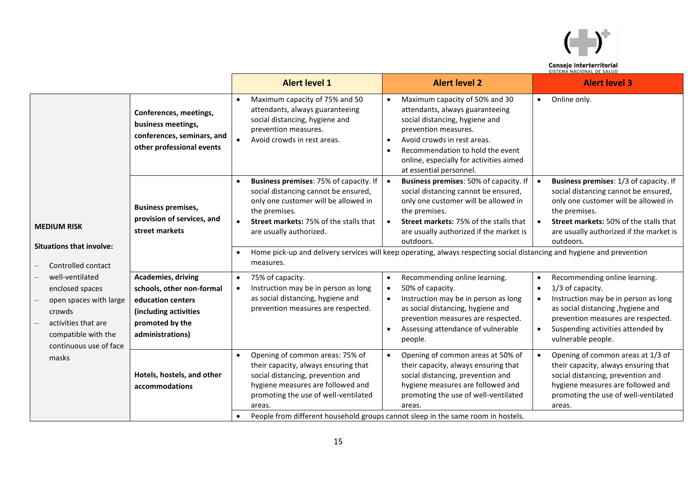

| Consejo Interterritorial   |  |
|----------------------------|--|
| CICTEMA NACIONAL DE CALIID |  |

|                                                                                                                                                |                                                                                                                                      | <b>Alert level 1</b>                                                                                                                                                                                                             | <b>Alert level 2</b>                                                                                                                                                                                                                                                                                                                                                | <b>Alert level 3</b>                                                                                                                                                                                                                                                                |
|------------------------------------------------------------------------------------------------------------------------------------------------|--------------------------------------------------------------------------------------------------------------------------------------|----------------------------------------------------------------------------------------------------------------------------------------------------------------------------------------------------------------------------------|---------------------------------------------------------------------------------------------------------------------------------------------------------------------------------------------------------------------------------------------------------------------------------------------------------------------------------------------------------------------|-------------------------------------------------------------------------------------------------------------------------------------------------------------------------------------------------------------------------------------------------------------------------------------|
|                                                                                                                                                | Conferences, meetings,<br>business meetings,<br>conferences, seminars, and<br>other professional events                              | Maximum capacity of 75% and 50<br>attendants, always guaranteeing<br>social distancing, hygiene and<br>prevention measures.<br>Avoid crowds in rest areas.                                                                       | Maximum capacity of 50% and 30<br>attendants, always guaranteeing<br>social distancing, hygiene and<br>prevention measures.<br>Avoid crowds in rest areas.<br>Recommendation to hold the event<br>online, especially for activities aimed<br>at essential personnel.                                                                                                | Online only.<br>$\bullet$                                                                                                                                                                                                                                                           |
| <b>MEDIUM RISK</b><br><b>Situations that involve:</b><br>Controlled contact                                                                    | <b>Business premises,</b><br>provision of services, and<br>street markets                                                            | Business premises: 75% of capacity. If<br>social distancing cannot be ensured,<br>only one customer will be allowed in<br>the premises.<br><b>Street markets: 75% of the stalls that</b><br>are usually authorized.<br>measures. | Business premises: 50% of capacity. If<br>social distancing cannot be ensured,<br>only one customer will be allowed in<br>the premises.<br>Street markets: 75% of the stalls that<br>are usually authorized if the market is<br>outdoors.<br>Home pick-up and delivery services will keep operating, always respecting social distancing and hygiene and prevention | Business premises: 1/3 of capacity. If<br>$\bullet$<br>social distancing cannot be ensured,<br>only one customer will be allowed in<br>the premises.<br><b>Street markets: 50% of the stalls that</b><br>$\bullet$<br>are usually authorized if the market is<br>outdoors.          |
| well-ventilated<br>enclosed spaces<br>open spaces with large<br>crowds<br>activities that are<br>compatible with the<br>continuous use of face | Academies, driving<br>schools, other non-formal<br>education centers<br>(including activities<br>promoted by the<br>administrations) | 75% of capacity.<br>$\bullet$<br>Instruction may be in person as long<br>as social distancing, hygiene and<br>prevention measures are respected.                                                                                 | Recommending online learning.<br>$\bullet$<br>50% of capacity.<br>Instruction may be in person as long<br>as social distancing, hygiene and<br>prevention measures are respected.<br>Assessing attendance of vulnerable<br>people.                                                                                                                                  | Recommending online learning.<br>$\bullet$<br>1/3 of capacity.<br>$\bullet$<br>Instruction may be in person as long<br>$\bullet$<br>as social distancing, hygiene and<br>prevention measures are respected.<br>Suspending activities attended by<br>$\bullet$<br>vulnerable people. |
| masks                                                                                                                                          | Hotels, hostels, and other<br>accommodations                                                                                         | Opening of common areas: 75% of<br>their capacity, always ensuring that<br>social distancing, prevention and<br>hygiene measures are followed and<br>promoting the use of well-ventilated<br>areas.                              | Opening of common areas at 50% of<br>their capacity, always ensuring that<br>social distancing, prevention and<br>hygiene measures are followed and<br>promoting the use of well-ventilated<br>areas.<br>People from different household groups cannot sleep in the same room in hostels.                                                                           | Opening of common areas at 1/3 of<br>$\bullet$<br>their capacity, always ensuring that<br>social distancing, prevention and<br>hygiene measures are followed and<br>promoting the use of well-ventilated<br>areas.                                                                  |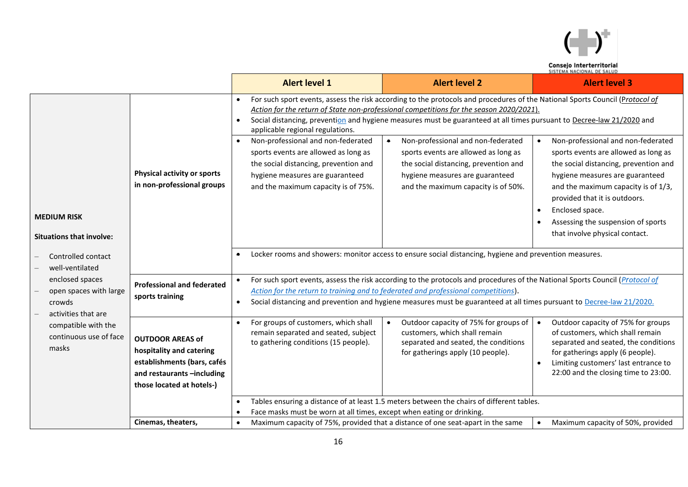

|                                                                            |                                                                                                                                                                                                                                                     | <b>Alert level 1</b>                                                                                                                                                                                       | <b>Alert level 2</b>                                                                                                                                                                                                                                                                                                                             | <b>Alert level 3</b>                                                                                                                                                                                                                                                                                                                    |
|----------------------------------------------------------------------------|-----------------------------------------------------------------------------------------------------------------------------------------------------------------------------------------------------------------------------------------------------|------------------------------------------------------------------------------------------------------------------------------------------------------------------------------------------------------------|--------------------------------------------------------------------------------------------------------------------------------------------------------------------------------------------------------------------------------------------------------------------------------------------------------------------------------------------------|-----------------------------------------------------------------------------------------------------------------------------------------------------------------------------------------------------------------------------------------------------------------------------------------------------------------------------------------|
|                                                                            |                                                                                                                                                                                                                                                     | $\bullet$<br>$\bullet$<br>applicable regional regulations.                                                                                                                                                 | For such sport events, assess the risk according to the protocols and procedures of the National Sports Council (Protocol of<br>Action for the return of State non-professional competitions for the season 2020/2021).<br>Social distancing, prevention and hygiene measures must be guaranteed at all times pursuant to Decree-law 21/2020 and |                                                                                                                                                                                                                                                                                                                                         |
| <b>MEDIUM RISK</b>                                                         | Physical activity or sports<br>in non-professional groups                                                                                                                                                                                           | Non-professional and non-federated<br>$\bullet$<br>sports events are allowed as long as<br>the social distancing, prevention and<br>hygiene measures are guaranteed<br>and the maximum capacity is of 75%. | Non-professional and non-federated<br>sports events are allowed as long as<br>the social distancing, prevention and<br>hygiene measures are guaranteed<br>and the maximum capacity is of 50%.                                                                                                                                                    | Non-professional and non-federated<br>$\bullet$<br>sports events are allowed as long as<br>the social distancing, prevention and<br>hygiene measures are guaranteed<br>and the maximum capacity is of 1/3,<br>provided that it is outdoors.<br>Enclosed space.                                                                          |
| <b>Situations that involve:</b>                                            |                                                                                                                                                                                                                                                     |                                                                                                                                                                                                            |                                                                                                                                                                                                                                                                                                                                                  | that involve physical contact.                                                                                                                                                                                                                                                                                                          |
| Controlled contact<br>well-ventilated                                      | Locker rooms and showers: monitor access to ensure social distancing, hygiene and prevention measures.<br>$\bullet$<br>For such sport events, assess the risk according to the protocols and procedures of the National Sports Council (Protocol of |                                                                                                                                                                                                            |                                                                                                                                                                                                                                                                                                                                                  |                                                                                                                                                                                                                                                                                                                                         |
| enclosed spaces<br>open spaces with large<br>crowds<br>activities that are | <b>Professional and federated</b><br>sports training                                                                                                                                                                                                | $\bullet$                                                                                                                                                                                                  | Action for the return to training and to federated and professional competitions).<br>Social distancing and prevention and hygiene measures must be guaranteed at all times pursuant to Decree-law 21/2020.                                                                                                                                      | Assessing the suspension of sports<br>Outdoor capacity of 75% for groups<br>$\bullet$<br>of customers, which shall remain<br>separated and seated, the conditions<br>for gatherings apply (6 people).<br>Limiting customers' last entrance to<br>22:00 and the closing time to 23:00.<br>Maximum capacity of 50%, provided<br>$\bullet$ |
| compatible with the<br>continuous use of face<br>masks                     | <b>OUTDOOR AREAS of</b><br>hospitality and catering<br>establishments (bars, cafés<br>and restaurants -including<br>those located at hotels-)                                                                                                       | For groups of customers, which shall<br>$\bullet$<br>remain separated and seated, subject<br>to gathering conditions (15 people).                                                                          | Outdoor capacity of 75% for groups of<br>customers, which shall remain<br>separated and seated, the conditions<br>for gatherings apply (10 people).                                                                                                                                                                                              |                                                                                                                                                                                                                                                                                                                                         |
|                                                                            |                                                                                                                                                                                                                                                     | $\bullet$<br>Face masks must be worn at all times, except when eating or drinking.<br>$\bullet$                                                                                                            | Tables ensuring a distance of at least 1.5 meters between the chairs of different tables.                                                                                                                                                                                                                                                        |                                                                                                                                                                                                                                                                                                                                         |
|                                                                            | Cinemas, theaters,                                                                                                                                                                                                                                  | $\bullet$                                                                                                                                                                                                  | Maximum capacity of 75%, provided that a distance of one seat-apart in the same                                                                                                                                                                                                                                                                  |                                                                                                                                                                                                                                                                                                                                         |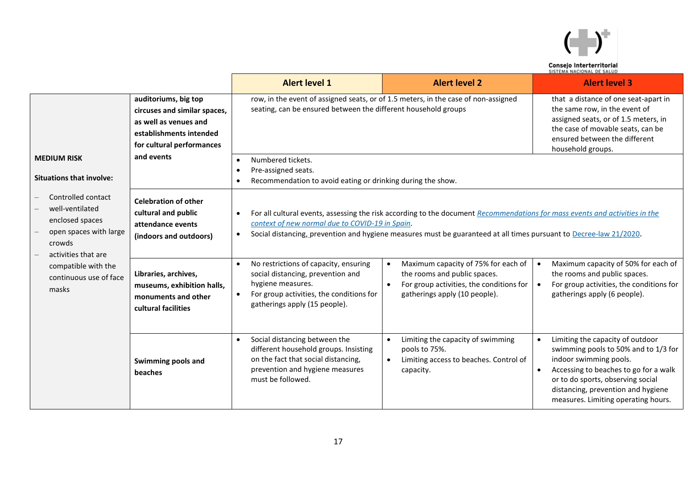

|                                                                                                                                            |                                                                                                                                       | <b>Alert level 1</b>                                                                                                                                                  | <b>Alert level 2</b>                                                                                                                                                                                                                                                                     | <b>Alert level 3</b>                                                                                                                                                                                                                                          |
|--------------------------------------------------------------------------------------------------------------------------------------------|---------------------------------------------------------------------------------------------------------------------------------------|-----------------------------------------------------------------------------------------------------------------------------------------------------------------------|------------------------------------------------------------------------------------------------------------------------------------------------------------------------------------------------------------------------------------------------------------------------------------------|---------------------------------------------------------------------------------------------------------------------------------------------------------------------------------------------------------------------------------------------------------------|
|                                                                                                                                            | auditoriums, big top<br>circuses and similar spaces,<br>as well as venues and<br>establishments intended<br>for cultural performances | seating, can be ensured between the different household groups                                                                                                        | row, in the event of assigned seats, or of 1.5 meters, in the case of non-assigned                                                                                                                                                                                                       | that a distance of one seat-apart in<br>the same row, in the event of<br>assigned seats, or of 1.5 meters, in<br>the case of movable seats, can be<br>ensured between the different<br>household groups.                                                      |
| <b>MEDIUM RISK</b><br><b>Situations that involve:</b>                                                                                      | and events                                                                                                                            | Numbered tickets.<br>$\bullet$<br>Pre-assigned seats.<br>$\bullet$<br>Recommendation to avoid eating or drinking during the show.<br>$\bullet$                        |                                                                                                                                                                                                                                                                                          |                                                                                                                                                                                                                                                               |
| Controlled contact<br>well-ventilated<br>enclosed spaces<br>open spaces with large<br>crowds<br>activities that are<br>compatible with the | <b>Celebration of other</b><br>cultural and public<br>attendance events<br>(indoors and outdoors)                                     | $\bullet$<br>context of new normal due to COVID-19 in Spain.<br>$\bullet$<br>No restrictions of capacity, ensuring                                                    | For all cultural events, assessing the risk according to the document Recommendations for mass events and activities in the<br>Social distancing, prevention and hygiene measures must be guaranteed at all times pursuant to Decree-law 21/2020.<br>Maximum capacity of 75% for each of | Maximum capacity of 50% for each of<br>$\bullet$                                                                                                                                                                                                              |
| continuous use of face<br>masks                                                                                                            | Libraries, archives,<br>museums, exhibition halls,<br>monuments and other<br>cultural facilities                                      | social distancing, prevention and<br>hygiene measures.<br>For group activities, the conditions for<br>gatherings apply (15 people).                                   | the rooms and public spaces.<br>For group activities, the conditions for<br>gatherings apply (10 people).                                                                                                                                                                                | the rooms and public spaces.<br>For group activities, the conditions for<br>$\bullet$<br>gatherings apply (6 people).                                                                                                                                         |
|                                                                                                                                            | Swimming pools and<br>beaches                                                                                                         | Social distancing between the<br>different household groups. Insisting<br>on the fact that social distancing,<br>prevention and hygiene measures<br>must be followed. | Limiting the capacity of swimming<br>pools to 75%.<br>Limiting access to beaches. Control of<br>$\bullet$<br>capacity.                                                                                                                                                                   | Limiting the capacity of outdoor<br>swimming pools to 50% and to 1/3 for<br>indoor swimming pools.<br>Accessing to beaches to go for a walk<br>or to do sports, observing social<br>distancing, prevention and hygiene<br>measures. Limiting operating hours. |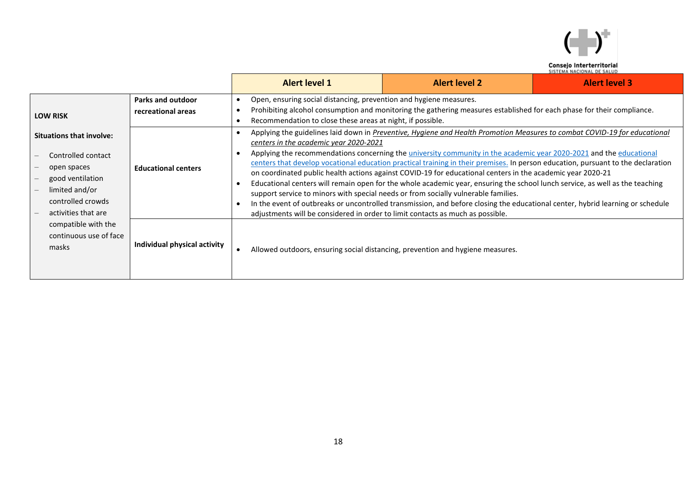

|                                                                                                                                                                                                                  |                                                | <b>Alert level 1</b>                                       | <b>Alert level 2</b><br><b>Alert level 3</b><br>Open, ensuring social distancing, prevention and hygiene measures.                                                                                                                                                                                                                                                                                                                                                                                                                                                                                                                                                                                                                                                                                                                                                                                                                                                                                   |  |  |  |  |  |
|------------------------------------------------------------------------------------------------------------------------------------------------------------------------------------------------------------------|------------------------------------------------|------------------------------------------------------------|------------------------------------------------------------------------------------------------------------------------------------------------------------------------------------------------------------------------------------------------------------------------------------------------------------------------------------------------------------------------------------------------------------------------------------------------------------------------------------------------------------------------------------------------------------------------------------------------------------------------------------------------------------------------------------------------------------------------------------------------------------------------------------------------------------------------------------------------------------------------------------------------------------------------------------------------------------------------------------------------------|--|--|--|--|--|
| <b>LOW RISK</b>                                                                                                                                                                                                  | <b>Parks and outdoor</b><br>recreational areas | Recommendation to close these areas at night, if possible. | Prohibiting alcohol consumption and monitoring the gathering measures established for each phase for their compliance.                                                                                                                                                                                                                                                                                                                                                                                                                                                                                                                                                                                                                                                                                                                                                                                                                                                                               |  |  |  |  |  |
| <b>Situations that involve:</b><br>Controlled contact<br>open spaces<br>good ventilation<br>limited and/or<br>controlled crowds<br>activities that are<br>compatible with the<br>continuous use of face<br>masks | <b>Educational centers</b>                     |                                                            | Applying the guidelines laid down in Preventive, Hygiene and Health Promotion Measures to combat COVID-19 for educational<br>centers in the academic year 2020-2021<br>Applying the recommendations concerning the <i>university community in the academic year</i> 2020-2021 and the <i>educational</i><br>centers that develop vocational education practical training in their premises. In person education, pursuant to the declaration<br>on coordinated public health actions against COVID-19 for educational centers in the academic year 2020-21<br>Educational centers will remain open for the whole academic year, ensuring the school lunch service, as well as the teaching<br>support service to minors with special needs or from socially vulnerable families.<br>In the event of outbreaks or uncontrolled transmission, and before closing the educational center, hybrid learning or schedule<br>adjustments will be considered in order to limit contacts as much as possible. |  |  |  |  |  |
|                                                                                                                                                                                                                  | Individual physical activity                   |                                                            | Allowed outdoors, ensuring social distancing, prevention and hygiene measures.                                                                                                                                                                                                                                                                                                                                                                                                                                                                                                                                                                                                                                                                                                                                                                                                                                                                                                                       |  |  |  |  |  |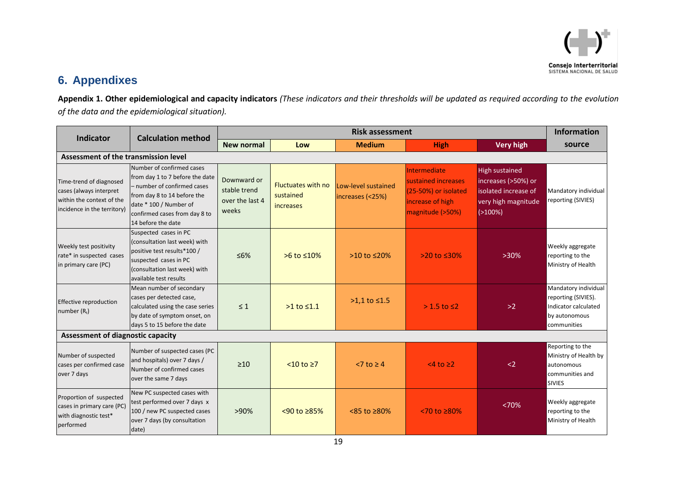

### **6. Appendixes**

**Appendix 1. Other epidemiological and capacity indicators** *(These indicators and their thresholds will be updated as required according to the evolution of the data and the epidemiological situation).*

<span id="page-18-0"></span>

| Indicator                                                                                                      | <b>Calculation method</b>                                                                                                                                                                                   | <b>Risk assessment</b>                                  |                                                     |                                         |                                                                                                       |                                                                                                           | <b>Information</b>                                                                                  |  |
|----------------------------------------------------------------------------------------------------------------|-------------------------------------------------------------------------------------------------------------------------------------------------------------------------------------------------------------|---------------------------------------------------------|-----------------------------------------------------|-----------------------------------------|-------------------------------------------------------------------------------------------------------|-----------------------------------------------------------------------------------------------------------|-----------------------------------------------------------------------------------------------------|--|
|                                                                                                                | New normal                                                                                                                                                                                                  | Low                                                     | <b>Medium</b>                                       | <b>High</b>                             | <b>Very high</b>                                                                                      | source                                                                                                    |                                                                                                     |  |
| Assessment of the transmission level                                                                           |                                                                                                                                                                                                             |                                                         |                                                     |                                         |                                                                                                       |                                                                                                           |                                                                                                     |  |
| Time-trend of diagnosed<br>cases (always interpret<br>within the context of the<br>incidence in the territory) | Number of confirmed cases<br>from day 1 to 7 before the date<br>- number of confirmed cases<br>from day 8 to 14 before the<br>date * 100 / Number of<br>confirmed cases from day 8 to<br>14 before the date | Downward or<br>stable trend<br>over the last 4<br>weeks | <b>Fluctuates with no</b><br>sustained<br>increases | Low-level sustained<br>increases (<25%) | Intermediate<br>sustained increases<br>$(25-50%)$ or isolated<br>increase of high<br>magnitude (>50%) | <b>High sustained</b><br>increases (>50%) or<br>isolated increase of<br>very high magnitude<br>$(>100\%)$ | Mandatory individual<br>reporting (SIVIES)                                                          |  |
| Weekly test positivity<br>rate* in suspected cases<br>in primary care (PC)                                     | Suspected cases in PC<br>(consultation last week) with<br>positive test results*100 /<br>suspected cases in PC<br>(consultation last week) with<br>available test results                                   | $\leq 6\%$                                              | >6 to ≤10%                                          | $>10$ to $\leq 20\%$                    | $>20$ to $\leq 30\%$                                                                                  | $>30\%$                                                                                                   | Weekly aggregate<br>reporting to the<br>Ministry of Health                                          |  |
| Effective reproduction<br>number $(R_t)$                                                                       | Mean number of secondary<br>cases per detected case,<br>calculated using the case series<br>by date of symptom onset, on<br>days 5 to 15 before the date                                                    | $\leq 1$                                                | $>1$ to $\leq 1.1$                                  | >1,1 to ≤1.5                            | $> 1.5$ to $\leq 2$                                                                                   | $>2$                                                                                                      | Mandatory individual<br>reporting (SIVIES).<br>Indicator calculated<br>by autonomous<br>communities |  |
| Assessment of diagnostic capacity                                                                              |                                                                                                                                                                                                             |                                                         |                                                     |                                         |                                                                                                       |                                                                                                           |                                                                                                     |  |
| Number of suspected<br>cases per confirmed case<br>over 7 days                                                 | Number of suspected cases (PC<br>and hospitals) over 7 days /<br>Number of confirmed cases<br>over the same 7 days                                                                                          | $\geq 10$                                               | $< 10$ to $\ge 7$                                   | $< 7$ to $\geq 4$                       | $<$ 4 to $\geq$ 2                                                                                     | $\langle$ 2                                                                                               | Reporting to the<br>Ministry of Health by<br>autonomous<br>communities and<br><b>SIVIES</b>         |  |
| Proportion of suspected<br>cases in primary care (PC)<br>with diagnostic test*<br>performed                    | New PC suspected cases with<br>test performed over 7 days x<br>100 / new PC suspected cases<br>over 7 days (by consultation<br>date)                                                                        | $>90\%$                                                 | $50$ to ≥85%                                        | $< 85$ to $\geq 80\%$                   | $< 70$ to $\geq 80\%$                                                                                 | <70%                                                                                                      | Weekly aggregate<br>reporting to the<br>Ministry of Health                                          |  |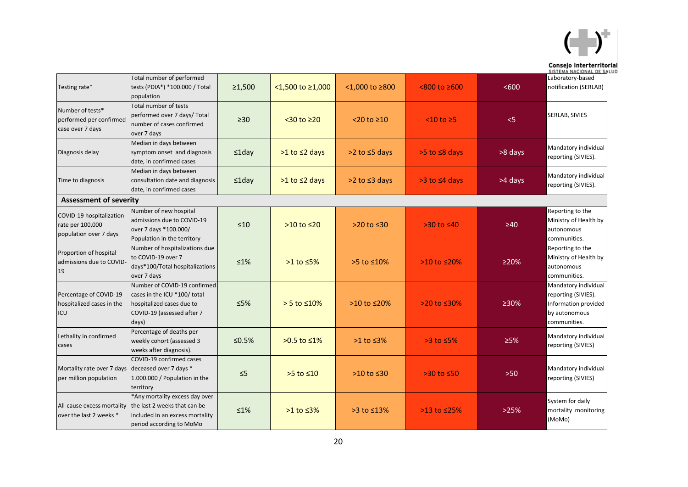

|                                                                             |                                                                                                                                  |              |                       |                         |                       |            | Consejo Interterritorial<br>SISTEMA NACIONAL DE SALUD                                                |
|-----------------------------------------------------------------------------|----------------------------------------------------------------------------------------------------------------------------------|--------------|-----------------------|-------------------------|-----------------------|------------|------------------------------------------------------------------------------------------------------|
| Testing rate*                                                               | Total number of performed<br>tests (PDIA*) *100.000 / Total<br>population                                                        | $\geq 1,500$ | <1,500 to ≥1,000      | $< 1,000$ to $\geq 800$ | $< 800$ to $\geq 600$ | < 600      | Laboratory-based<br>notification (SERLAB)                                                            |
| Number of tests*<br>performed per confirmed<br>case over 7 days             | Total number of tests<br>performed over 7 days/ Total<br>number of cases confirmed<br>over 7 days                                | $\geq 30$    | $<$ 30 to $\geq$ 20   | $<$ 20 to $\geq$ 10     | $<$ 10 to $\geq$ 5    | < 5        | SERLAB, SIVIES                                                                                       |
| Diagnosis delay                                                             | Median in days between<br>symptom onset and diagnosis<br>date, in confirmed cases                                                | ≤1day        | $>1$ to $\leq$ 2 days | $>2$ to $\leq$ 5 days   | $>5$ to $\leq 8$ days | >8 days    | Mandatory individual<br>reporting (SIVIES).                                                          |
| Time to diagnosis                                                           | Median in days between<br>consultation date and diagnosis<br>date, in confirmed cases                                            | ≤1day        | $>1$ to $\leq$ 2 days | $>2$ to $\leq$ 3 days   | $>3$ to $\leq 4$ days | >4 days    | Mandatory individual<br>reporting (SIVIES).                                                          |
| <b>Assessment of severity</b>                                               |                                                                                                                                  |              |                       |                         |                       |            |                                                                                                      |
| COVID-19 hospitalization<br>rate per 100,000<br>population over 7 days      | Number of new hospital<br>admissions due to COVID-19<br>over 7 days *100.000/<br>Population in the territory                     | $\leq 10$    | $>10$ to $\leq 20$    | $>20$ to $\leq 30$      | $>30$ to $\leq 40$    | $\geq 40$  | Reporting to the<br>Ministry of Health by<br>autonomous<br>communities.                              |
| Proportion of hospital<br>admissions due to COVID-<br>19                    | Number of hospitalizations due<br>to COVID-19 over 7<br>days*100/Total hospitalizations<br>over 7 days                           | $\leq 1\%$   | $>1$ to $\leq$ 5%     | >5 to ≤10%              | $>10$ to $\leq 20\%$  | >20%       | Reporting to the<br>Ministry of Health by<br>autonomous<br>communities.                              |
| Percentage of COVID-19<br>hospitalized cases in the<br>ICU                  | Number of COVID-19 confirmed<br>cases in the ICU *100/ total<br>hospitalized cases due to<br>COVID-19 (assessed after 7<br>days) | $\leq 5\%$   | $> 5$ to $\leq 10\%$  | >10 to ≤20%             | >20 to ≤30%           | ≥30%       | Mandatory individual<br>reporting (SIVIES).<br>Information provided<br>by autonomous<br>communities. |
| Lethality in confirmed<br>cases                                             | Percentage of deaths per<br>weekly cohort (assessed 3<br>weeks after diagnosis).                                                 | ≤0.5%        | >0.5 to ≤1%           | $>1$ to $\leq$ 3%       | $>3$ to $\leq$ 5%     | $\geq 5\%$ | Mandatory individual<br>reporting (SIVIES)                                                           |
| Mortality rate over 7 days deceased over 7 days *<br>per million population | COVID-19 confirmed cases<br>1.000.000 / Population in the<br>territory                                                           | $\leq$ 5     | $>5$ to $\leq 10$     | $>10$ to $\leq 30$      | $>30$ to $\leq 50$    | $>50$      | Mandatory individual<br>reporting (SIVIES)                                                           |
| All-cause excess mortality<br>over the last 2 weeks *                       | *Any mortality excess day over<br>the last 2 weeks that can be<br>included in an excess mortality<br>period according to MoMo    | $\leq 1\%$   | $>1$ to $\leq$ 3%     | $>3$ to $\leq$ 13%      | $>13$ to $\leq$ 25%   | >25%       | System for daily<br>mortality monitoring<br>(MoMo)                                                   |